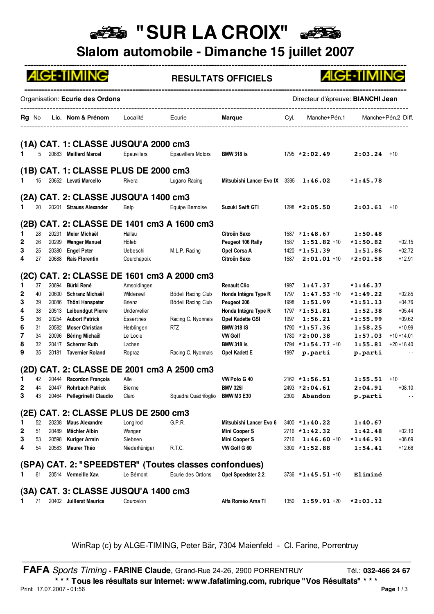## **BE "SUR LA CROIX"**

**Slalom automobile - Dimanche 15 juillet 2007**

|             |          |                | <b>ALGE-TIMING</b>                      |                 |                                                       | <b>RESULTATS OFFICIELS</b>            |      |                                      | <b>ALGE-TIMING</b>    |                      |
|-------------|----------|----------------|-----------------------------------------|-----------------|-------------------------------------------------------|---------------------------------------|------|--------------------------------------|-----------------------|----------------------|
|             |          |                | Organisation: Ecurie des Ordons         |                 |                                                       |                                       |      | Directeur d'épreuve: BIANCHI Jean    |                       |                      |
|             |          |                | <b>Rg</b> No Lic. Nom & Prénom Localité |                 | Ecurie                                                | <b>Marque Marque</b>                  |      | Cyl. Manche+Pén.1 Manche+Pén.2 Diff. |                       |                      |
|             |          |                | (1A) CAT. 1: CLASSE JUSQU'A 2000 cm3    |                 |                                                       |                                       |      |                                      |                       |                      |
| 1           |          |                | 20683 Maillard Marcel                   | Epauvillers     | <b>Epauvillers Motors</b>                             | <b>BMW 318 is</b>                     |      | $1795 * 2:02.49$                     | $2:03.24$ +10         |                      |
|             |          |                | (1B) CAT. 1: CLASSE PLUS DE 2000 cm3    |                 |                                                       |                                       |      |                                      |                       |                      |
| 1           | 15       |                | 20652 Levati Marcello                   | Rivera          | Lugano Racing                                         | Mitsubishi Lancer Evo IX 3395 1:46.02 |      |                                      | $*1:45.78$            |                      |
|             |          |                |                                         |                 |                                                       |                                       |      |                                      |                       |                      |
|             |          |                | (2A) CAT. 2: CLASSE JUSQU'A 1400 cm3    |                 |                                                       |                                       |      |                                      |                       |                      |
| 1.          | 20       |                | 20201 Strauss Alexander                 | Belp            | Equipe Bernoise                                       | Suzuki Swift GTI                      |      | $1298 * 2:05.50$                     | $2:03.61$ +10         |                      |
|             |          |                |                                         |                 |                                                       |                                       |      |                                      |                       |                      |
|             |          |                |                                         |                 | (2B) CAT. 2: CLASSE DE 1401 cm3 A 1600 cm3            |                                       |      |                                      |                       |                      |
| $\mathbf 1$ | 28       | 20231          | Meier Michaël                           | Hallau          |                                                       | Citroën Saxo                          |      | $1587 * 1:48.67$                     | 1:50.48               |                      |
| 2           | 26       | 20299          | <b>Wenger Manuel</b>                    | Höfeb           |                                                       | Peugeot 106 Rally                     | 1587 | $1:51.82 + 10$                       | $*1:50.82$            | $+02.15$             |
| 3<br>4      | 25<br>27 | 20380<br>20688 | <b>Engel Peter</b><br>Rais Florentin    | <b>Uebeschi</b> | M.L.P. Racing                                         | Opel Corsa A<br>Citroën Saxo          | 1587 | $1420 * 1:51.39$<br>$2:01.01 + 10$   | 1:51.86<br>$*2:01.58$ | $+02.72$<br>$+12.91$ |
|             |          |                |                                         | Courchapoix     |                                                       |                                       |      |                                      |                       |                      |
|             |          |                |                                         |                 | (2C) CAT. 2: CLASSE DE 1601 cm3 A 2000 cm3            |                                       |      |                                      |                       |                      |
| 1           | 37       | 20694          | Bürki René                              | Amsoldingen     |                                                       | <b>Renault Clio</b>                   | 1997 | 1:47.37                              | $*1:46.37$            |                      |
| 2           | 40       | 20600          | Schranz Michaël                         | Wilderswil      | Bödeli Racing Club                                    | Honda Intégra Type R                  | 1797 | $1:47.53 + 10$                       | $*1:49.22$            | $+02.85$             |
| 3           | 39       | 20086          | Thöni Hanspeter                         | Brienz          | Bödeli Racing Club                                    | Peugeot 206                           | 1998 | 1:51.99                              | $*1:51.13$            | $+04.76$             |
| 4           | 38       | 20513          | Leibundgut Pierre                       | Undervelier     |                                                       | Honda Intégra Type R                  |      | $1797 * 1:51.81$                     | 1:52.38               | $+05.44$             |
| 5           | 36       | 20254          | <b>Aubort Patrick</b>                   | Essertines      | Racing C. Nyonnais                                    | Opel Kadette GSI                      | 1997 | 1:56.21                              | $*1:55.99$            | $+09.62$             |
| 6           | 31       | 20582          | <b>Moser Christian</b>                  | Herblingen      | <b>RTZ</b>                                            | <b>BMW 318 IS</b>                     |      | $1790 * 1:57.36$                     | 1:58.25               | $+10.99$             |
| 7           | 34       | 20096          | Béring Michaël                          | Le Locle        |                                                       | <b>VW Golf</b>                        |      | 1780 *2:00.38                        | 1:57.03               | $+10 + 14.01$        |
| 8           | 32       | 20417          | <b>Scherrer Ruth</b>                    | Lachen          |                                                       | <b>BMW 318 is</b>                     |      | $1794 * 1:54.77 * 10$                | 1:55.81               | $+20 + 18.40$        |
| 9           | 35       | 20181          | <b>Tavernier Roland</b>                 | Ropraz          | Racing C. Nyonnais                                    | Opel Kadett E                         |      | 1997 p.parti                         | p.parti               | $ -$                 |
|             |          |                |                                         |                 | (2D) CAT. 2: CLASSE DE 2001 cm3 A 2500 cm3            |                                       |      |                                      |                       |                      |
| 1           |          |                | 42 20444 Racordon François              | Alle            |                                                       | VW Polo G 40                          |      | $2162 * 1:56.51$                     | 1:55.51               | $+10$                |
|             | 44       |                | 20447 Rohrbach Patrick                  | Bienne          |                                                       | <b>BMV 3251</b>                       |      | 2493 *2:04.61                        | 2:04.91               | $+08.10$             |
| 3           | 43       |                | 20464 Pellegrinelli Claudio             | Claro           | Squadra Quadrifoglio BMW M3 E30                       |                                       | 2300 | Abandon                              | p.parti               | $ -$                 |
|             |          |                |                                         |                 |                                                       |                                       |      |                                      |                       |                      |
|             |          |                | (2E) CAT. 2: CLASSE PLUS DE 2500 cm3    |                 |                                                       |                                       |      |                                      |                       |                      |
| 1           | 52       | 20238          | <b>Maus Alexandre</b>                   | Longirod        | G.P.R.                                                | Mitsubishi Lancer Evo 6               |      | 3400 *1:40.22                        | 1:40.67               |                      |
| 2           | 51       | 20489          | Mächler Albin                           | Wangen          |                                                       | Mini Cooper S                         |      | $2716 * 1 : 42.32$                   | 1:42.48               | $+02.10$             |
| 3           | 53       | 20598          | <b>Kuriger Armin</b>                    | Siebnen         |                                                       | Mini Cooper S                         | 2716 | $1:46.60 + 10$                       | $*1:46.91$            | $+06.69$             |
| 4           | 54       | 20583          | Maurer Théo                             | Niederhüniger   | R.T.C.                                                | VW Golf G 60                          |      | 3300 *1:52.88                        | 1:54.41               | $+12.66$             |
|             |          |                |                                         |                 | (SPA) CAT. 2: "SPEEDSTER" (Toutes classes confondues) |                                       |      |                                      |                       |                      |
| 1           | 61       |                | 20514 Vermeille Xav.                    | Le Bémont       | Ecurie des Ordons                                     | Opel Speedster 2.2.                   |      | $3736 * 1 : 45.51 * 10$              | Eliminé               |                      |
|             |          |                |                                         |                 |                                                       |                                       |      |                                      |                       |                      |
|             |          |                | (3A) CAT. 3: CLASSE JUSQU'A 1400 cm3    |                 |                                                       |                                       |      |                                      |                       |                      |
| 1           | 71       |                | 20402 Juillerat Maurice                 | Courcelon       |                                                       | Alfa Roméo Arna TI                    | 1350 | $1:59.91 + 20$                       | $*2:03.12$            |                      |

WinRap (c) by ALGE-TIMING, Peter Bär, 7304 Maienfeld - Cl. Farine, Porrentruy \_\_\_\_\_\_\_\_\_\_\_\_\_\_\_\_\_\_\_\_\_\_\_\_\_\_\_\_\_\_\_\_\_\_\_\_\_\_\_\_\_\_\_\_\_\_\_\_\_\_\_\_\_\_\_\_\_\_\_\_\_\_\_\_\_\_\_\_\_\_\_\_\_\_\_\_\_\_\_\_\_\_\_\_\_\_\_\_\_\_\_\_\_\_\_\_\_

**FAFA** *Sports Timing* - **FARINE Claude**, Grand-Rue 24-26, 2900 PORRENTRUY Tél.: 032-466 24 67 **\* \* \* Tous les résultats sur Internet: www.fafatiming.com, rubrique "Vos Résultats" \* \* \*** Print: 17.07.2007 - 01:56 **Page** 1 / 3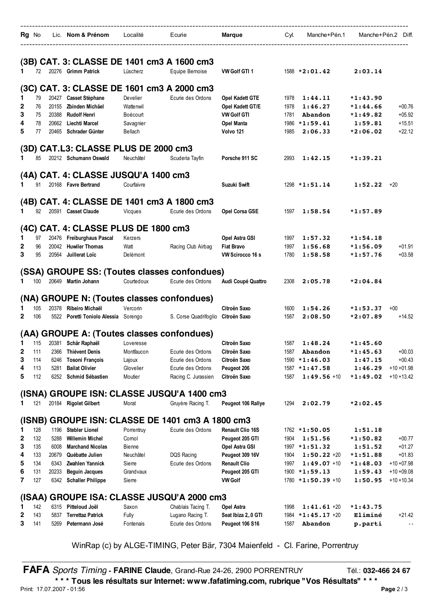|                   | <b>Rg</b> No |              | Lic. Nom & Prénom                               | Localité            | Ecurie                                                            | Marque                       | Cyl.         | Manche+Pén.1             | Manche+Pén.2 Diff. |                      |
|-------------------|--------------|--------------|-------------------------------------------------|---------------------|-------------------------------------------------------------------|------------------------------|--------------|--------------------------|--------------------|----------------------|
|                   |              |              |                                                 |                     | (3B) CAT. 3: CLASSE DE 1401 cm3 A 1600 cm3                        |                              |              |                          |                    |                      |
| 1.                | 72           |              | 20276 Grimm Patrick                             | Lüscherz            | Equipe Bernoise                                                   | VW Golf GTI 1                |              | $1588 * 2:01.42$         | 2:03.14            |                      |
|                   |              |              |                                                 |                     | (3C) CAT. 3: CLASSE DE 1601 cm3 A 2000 cm3                        |                              |              |                          |                    |                      |
| 1                 | 79           |              | 20427 Casset Stèphane                           | Develier            | Ecurie des Ordons                                                 | Opel Kadett GTE              | 1978         | 1:44.11                  | $*1:43.90$         |                      |
| 2                 | 76           | 20155        | Zbinden Michäel                                 | Wattenwil           |                                                                   | Opel Kadett GT/E             | 1978         | 1:46.27                  | $*1:44.66$         | $+00.76$             |
| 3                 | 75           | 20388        | <b>Rudolf Henri</b>                             | Boécourt            |                                                                   | <b>VW Golf GTI</b>           | 1781         | Abandon                  | $*1:49.82$         | $+05.92$             |
| 4                 | 78           | 20662        | Liechti Marcel                                  | Savagnier           |                                                                   | <b>Opel Manta</b>            | 1986         | $*1:59.41$               | 1:59.81            | $+15.51$             |
| 5                 | 77           | 20465        | Schrader Günter                                 | Bellach             |                                                                   | Volvo 121                    | 1985         | 2:06.33                  | $*2:06.02$         | $+22.12$             |
|                   |              |              | (3D) CAT.L3: CLASSE PLUS DE 2000 cm3            |                     |                                                                   |                              |              |                          |                    |                      |
| 1.                | 85           |              | 20212 Schumann Oswald                           | Neuchâtel           | Scuderia Tayfin                                                   | Porsche 911 SC               | 2993         | 1:42.15                  | $*1:39.21$         |                      |
|                   |              |              | (4A) CAT. 4: CLASSE JUSQU'A 1400 cm3            |                     |                                                                   |                              |              |                          |                    |                      |
| 1                 | 91           |              | 20168 Favre Bertrand                            | Courfaivre          |                                                                   | Suzuki Swift                 |              | $1298 * 1:51.14$         | $1:52.22 + 20$     |                      |
|                   |              |              |                                                 |                     | (4B) CAT. 4: CLASSE DE 1401 cm3 A 1800 cm3                        |                              |              |                          |                    |                      |
| 1                 | 92           |              | 20591 Casset Claude                             | Vicques             | Ecurie des Ordons                                                 | Opel Corsa GSE               | 1597         | 1:58.54                  | $*1:57.89$         |                      |
|                   |              |              | (4C) CAT. 4: CLASSE PLUS DE 1800 cm3            |                     |                                                                   |                              |              |                          |                    |                      |
| 1                 | 97           |              | 20476 Freiburghaus Pascal                       | Kerzers             |                                                                   | Opel Astra GSI               | 1997         | 1:57.32                  | $*1:54.18$         |                      |
| 2                 | 96           | 20042        | <b>Huwiler Thomas</b>                           | Watt                | Racing Club Airbag                                                | <b>Fiat Bravo</b>            | 1997         | 1:56.68                  | $*1:56.09$         | $+01.91$             |
| 3                 | 95           | 20564        | Juillerat Loïc                                  | Delémont            |                                                                   | VW Scirocco 16 s             | 1780         | 1:58.58                  | $*1:57.76$         | $+03.58$             |
|                   |              |              |                                                 |                     |                                                                   |                              |              |                          |                    |                      |
| 1.                | 100          |              | 20649 Martin Johann                             | Courtedoux          | (SSA) GROUPE SS: (Toutes classes confondues)<br>Ecurie des Ordons | Audi Coupé Quattro           | 2308         | 2:05.78                  | $*2:04.84$         |                      |
|                   |              |              |                                                 |                     |                                                                   |                              |              |                          |                    |                      |
|                   |              |              |                                                 |                     | (NA) GROUPE N: (Toutes classes confondues)                        |                              |              |                          |                    |                      |
| 1<br>$\mathbf{2}$ | 105          |              | 20378 Ribeiro Michaël                           | Vercorin            |                                                                   | Citroën Saxo                 | 1600         | 1:54.26<br>2:08.50       | $*1:53.37$         | $+00$                |
|                   | 106          |              | 5522 Poretti Toniolo Alessia Sorengo            |                     | S. Corse Quadrifoglio Citroën Saxo                                |                              | 1587         |                          | $*2:07.89$         | $+14.52$             |
|                   |              |              |                                                 |                     | (AA) GROUPE A: (Toutes classes confondues)                        |                              |              |                          |                    |                      |
| 1                 | 115          |              | 20381 Schär Raphaël                             | Loveresse           |                                                                   | Citroën Saxo                 | 1587         | 1:48.24                  | $*1:45.60$         |                      |
| 2                 | 111<br>114   | 2366         | Thiévent Denis                                  | Montfaucon          | Ecurie des Ordons                                                 | Citroën Saxo<br>Citroën Saxo | 1587         | <b>Abandon</b>           | *1:45.63           | $+00.03$<br>$+00.43$ |
| 3<br>4            | 113          | 6246<br>5281 | <b>Tosoni François</b><br><b>Bailat Olivier</b> | Lajoux<br>Glovelier | Ecurie des Ordons<br>Ecurie des Ordons                            | Peugeot 206                  | 1590<br>1587 | $*1:46.03$<br>$*1:47.58$ | 1:47.15<br>1:46.29 | $+10 + 01.98$        |
| 5                 | 112          | 6252         | Schmid Sébastien                                | Moutier             | Racing C. Jurassien                                               | Citroën Saxo                 | 1587         | $1:49.56$ +10            | $*1:49.02$         | $+10 + 13.42$        |
|                   |              |              |                                                 |                     | (ISNA) GROUPE ISN: CLASSE JUSQU'A 1400 cm3                        |                              |              |                          |                    |                      |
| 1                 | 121          |              | 20184 Rigolet Gilbert                           | Morat               | Gruyère Racing T.                                                 | Peugeot 106 Rallye           | 1294         | 2:02.79                  | *2:02.45           |                      |
|                   | (ISNB)       |              |                                                 |                     | GROUPE ISN: CLASSE DE 1401 cm3 A 1800 cm3                         |                              |              |                          |                    |                      |
| 1                 | 128          | 1196         | <b>Stebler Lionel</b>                           | Porrentruy          | Ecurie des Ordons                                                 | <b>Renault Clio 16S</b>      |              | 1762 *1:50.05            | 1:51.18            |                      |
| 2                 | 132          | 5288         | <b>Willemin Michel</b>                          | Cornol              |                                                                   | Peugeot 205 GTI              | 1904         | 1:51.56                  | $*1:50.82$         | $+00.77$             |
| 3                 | 135          | 6008         | <b>Marchand Nicolas</b>                         | Bienne              |                                                                   | Opel Astra GSI               |              | 1997 *1:51.32            | 1:51.52            | $+01.27$             |
| 4                 | 133          | 20679        | Québatte Julien                                 | Neuchâtel           | DQS Racing                                                        | Peugeot 309 16V              | 1904         | $1:50.22 + 20$           | $*1:51.88$         | $+01.83$             |
| 5                 | 134          | 6343         | Zwahlen Yannick                                 | Sierre              | Ecurie des Ordons                                                 | <b>Renault Clio</b>          | 1997         | $1:49.07 + 10$           | *1:48.03           | $+10 + 07.98$        |
| 6                 | 131          | 20233        | <b>Beguin Jacques</b>                           | Grandvaux           |                                                                   | Peugeot 205 GTI              |              | $1900 * 1:59.13$         | 1:59.43            | $+10 + 09.08$        |
| 7                 | 127          | 6342         | <b>Schaller Philippe</b>                        | Sierre              |                                                                   | <b>VW Golf</b>               |              | $1780 * 1:50.39 * 10$    | 1:50.95            | $+10 + 10.34$        |
|                   |              |              |                                                 |                     | (ISAA) GROUPE ISA: CLASSE JUSQU'A 2000 cm3                        |                              |              |                          |                    |                      |
| 1                 | 142          |              | 6315 Pitteloud Joël                             | Saxon               | Chablais Tacing T.                                                | Opel Astra                   | 1998         | $1:41.61 + 20$           | $*1:43.75$         |                      |
| 2                 | 143          | 5837         | <b>Terrettaz Patrick</b>                        | Fully               | Lugano Racing T.                                                  | Seat Ibiza 2,.0 GTI          | 1984         | $*1:45.17$ +20           | Eliminé            | $+21.42$             |
| 3                 | 141          | 5269         | Petermann José                                  | Fontenais           | Ecurie des Ordons                                                 | Peugeot 106 S16              | 1587         | <b>Abandon</b>           | p.parti            |                      |

**FAFA** *Sports Timing* - **FARINE Claude**, Grand-Rue 24-26, 2900 PORRENTRUY Tél.: 032-466 24 67

**\* \* \* Tous les résultats sur Internet: www.fafatiming.com, rubrique "Vos Résultats" \* \* \*** Print: 17.07.2007 - 01:56 **Page** 2 / 3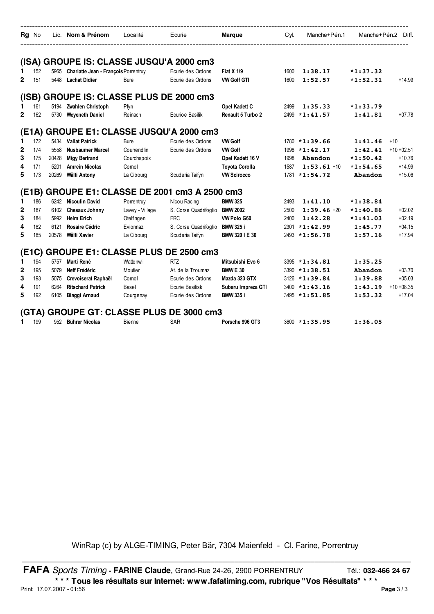| Rq No        |       |       | Lic. Nom & Prénom                         | Localité        | Ecurie                                    | Marque                | Cyl. | Manche+Pén.1     | Manche+Pén.2 Diff. |               |
|--------------|-------|-------|-------------------------------------------|-----------------|-------------------------------------------|-----------------------|------|------------------|--------------------|---------------|
|              |       |       | (ISA) GROUPE IS: CLASSE JUSQU'A 2000 cm3  |                 |                                           |                       |      |                  |                    |               |
|              | 152   |       | 5965 Chariatte Jean - François Porrentruy |                 | Ecurie des Ordons                         | <b>Fiat X 1/9</b>     | 1600 | 1:38.17          | $*1:37.32$         |               |
| 2            | 151   |       | 5448 Lachat Didier                        | <b>Bure</b>     | Ecurie des Ordons                         | <b>VW Golf GTI</b>    | 1600 | 1:52.57          | $*1:52.31$         | $+14.99$      |
|              |       |       | (ISB) GROUPE IS: CLASSE PLUS DE 2000 cm3  |                 |                                           |                       |      |                  |                    |               |
| 1            | 161   |       | 5194 Zwahlen Christoph                    | Pfyn            |                                           | Opel Kadett C         | 2499 | 1:35.33          | $*1:33.79$         |               |
| $\mathbf{2}$ | 162   | 5730  | <b>Weveneth Daniel</b>                    | Reinach         | <b>Ecurioe Basilik</b>                    | Renault 5 Turbo 2     | 2499 | $*1:41.57$       | 1:41.81            | $+07.78$      |
|              | (E1A) |       |                                           |                 | <b>GROUPE E1: CLASSE JUSQU'A 2000 cm3</b> |                       |      |                  |                    |               |
| 1            | 172   |       | 5434 Vallat Patrick                       | <b>Bure</b>     | Ecurie des Ordons                         | <b>VW Golf</b>        |      | $1780 * 1:39.66$ | 1:41.46            | $+10$         |
| $\mathbf{2}$ | 174   | 5558  | <b>Nusbaumer Marcel</b>                   | Courrendlin     | Ecurie des Ordons                         | <b>VW Golf</b>        | 1998 | $*1:42.17$       | 1:42.41            | $+10 + 02.51$ |
| 3            | 175   | 20428 | <b>Migy Bertrand</b>                      | Courchapoix     |                                           | Opel Kadett 16 V      | 1998 | Abandon          | $*1:50.42$         | $+10.76$      |
| 4            | 171   | 5201  | <b>Amrein Nicolas</b>                     | Cornol          |                                           | <b>Toyota Corolla</b> | 1587 | 1:53.61.11       | $*1:54.65$         | $+14.99$      |
| 5            | 173   | 20269 | Wälti Antony                              | La Cibourg      | Scuderia Taifyn                           | <b>VW Scirocco</b>    |      | $1781 * 1:54.72$ | Abandon            | $+15.06$      |
|              | (E1B) |       |                                           |                 | GROUPE E1: CLASSE DE 2001 cm3 A 2500 cm3  |                       |      |                  |                    |               |
| 1            | 186   |       | 6242 Nicoulin David                       | Porrentruy      | Nicou Racing                              | <b>BMW 325</b>        | 2493 | 1:41.10          | $*1:38.84$         |               |
| 2            | 187   |       | 6102 Chesaux Johnny                       | Lavey - Village | S. Corse Quadrifoglio                     | <b>BMW 2002</b>       | 2500 | $1:39.46+20$     | $*1:40.86$         | $+02.02$      |
| 3            | 184   |       | 5992 Helm Erich                           | Otelfingen      | <b>FRC</b>                                | VW Polo G60           | 2400 | 1:42.28          | $*1:41.03$         | $+02.19$      |
| 4            | 182   | 6121  | Rosaire Cédric                            | Evionnaz        | S. Corse Quadrifoglio                     | <b>BMW 325 i</b>      | 2301 | $*1:42.99$       | 1:45.77            | $+04.15$      |
| 5            | 185   | 20578 | Wälti Xavier                              | La Cibourg      | Scuderia Taifyn                           | BMW 320 I E 30        |      | 2493 *1:56.78    | 1:57.16            | $+17.94$      |
|              | (Et)  |       |                                           |                 | <b>GROUPE E1: CLASSE PLUS DE 2500 cm3</b> |                       |      |                  |                    |               |
| 1            | 194   |       | 5757 Marti René                           | Wattenwil       | R <sub>T</sub>                            | Mitsubishi Evo 6      |      | $3395 * 1:34.81$ | 1:35.25            |               |
| 2            | 195   | 5079  | Neff Frédéric                             | Moutier         | At. de la Tzoumaz                         | <b>BMW E 30</b>       | 3390 | $*1:38.51$       | Abandon            | $+03.70$      |
| 3            | 193   | 5075  | Crevoiserat Raphaël                       | Comol           | Ecurie des Ordons                         | Mazda 323 GTX         | 3126 | $*1:39.84$       | 1:39.88            | $+05.03$      |
| 4            | 191   | 6264  | <b>Ritschard Patrick</b>                  | Basel           | Ecurie Basilisk                           | Subaru Impreza GTI    |      | $3400 * 1:43.16$ | 1:43.19            | $+10 + 08.35$ |
| 5            | 192   | 6105  | Biaggi Arnaud                             | Courgenay       | Ecurie des Ordons                         | <b>BMW 335 i</b>      |      | $3495 * 1:51.85$ | 1:53.32            | $+17.04$      |
|              |       |       |                                           |                 | (GTA) GROUPE GT: CLASSE PLUS DE 3000 cm3  |                       |      |                  |                    |               |
|              | 199   |       | 952 Bührer Nicolas                        | Bienne          | <b>SAR</b>                                | Porsche 996 GT3       |      | $3600 * 1:35.95$ | 1:36.05            |               |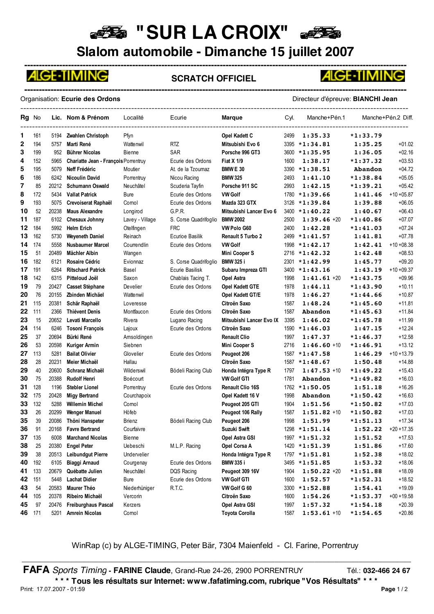### **BE "SUR LA CROIX"**

**Slalom automobile - Dimanche 15 juillet 2007**



#### **SCRATCH OFFICIEL**



Organisation: **Ecurie des Ordons** Directeur d'épreuve: **BIANCHI Jean**

**-----------------------------------------------------------------------------------------------------------------------------------**

| Rg No  |     |       | Lic. Nom & Prénom                    | Localité         | Ecurie                | Marque                   | Cyl. | Manche+Pén.1     |            | Manche+Pén.2 Diff. |
|--------|-----|-------|--------------------------------------|------------------|-----------------------|--------------------------|------|------------------|------------|--------------------|
| 1      | 161 | 5194  | Zwahlen Christoph                    | Pfyn             |                       | Opel Kadett C            | 2499 | 1:35.33          | $*1:33.79$ |                    |
| 2      | 194 | 5757  | Marti René                           | <b>Wattenwil</b> | RTZ                   | Mitsubishi Evo 6         |      | 3395 *1:34.81    | 1:35.25    | $+01.02$           |
| 3      | 199 | 952   | <b>Bührer Nicolas</b>                | Bienne           | <b>SAR</b>            | Porsche 996 GT3          |      | 3600 *1:35.95    | 1:36.05    | $+02.16$           |
| 4      | 152 | 5965  | Chariatte Jean - François Porrentruy |                  | Ecurie des Ordons     | Fiat X 1/9               | 1600 | 1:38.17          | $*1:37.32$ | $+03.53$           |
| 5      | 195 | 5079  | Neff Frédéric                        | Moutier          | At. de la Tzoumaz     | <b>BMW E 30</b>          |      | 3390 *1:38.51    | Abandon    | $+04.72$           |
| 6      | 186 | 6242  | <b>Nicoulin David</b>                | Porrentruy       | Nicou Racing          | <b>BMW 325</b>           | 2493 | 1:41.10          | $*1:38.84$ | $+05.05$           |
| 7      | 85  | 20212 | <b>Schumann Oswald</b>               | Neuchâtel        | Scuderia Tayfin       | Porsche 911 SC           | 2993 | 1:42.15          | $*1:39.21$ | $+05.42$           |
| 8      | 172 | 5434  | <b>Vallat Patrick</b>                | <b>Bure</b>      | Ecurie des Ordons     | <b>VW Golf</b>           |      | $1780 * 1:39.66$ | 1:41.46    | $+10 + 05.87$      |
| 9      | 193 | 5075  | Crevoiserat Raphaël                  | Comol            | Ecurie des Ordons     | Mazda 323 GTX            | 3126 | $*1:39.84$       | 1:39.88    | $+06.05$           |
| 10     | 52  | 20238 | <b>Maus Alexandre</b>                | Longirod         | G.P.R.                | Mitsubishi Lancer Evo 6  |      | 3400 *1:40.22    | 1:40.67    | $+06.43$           |
| 11     | 187 | 6102  | Chesaux Johnny                       | Lavey - Village  | S. Corse Quadrifoglio | <b>BMW 2002</b>          | 2500 | $1:39.46+20$     | $*1:40.86$ | $+07.07$           |
| 12     | 184 | 5992  | <b>Helm Erich</b>                    | Otelfingen       | <b>FRC</b>            | VW Polo G60              | 2400 | 1:42.28          | $*1:41.03$ | $+07.24$           |
| 13     | 162 | 5730  | <b>Weyeneth Daniel</b>               | Reinach          | Ecurioe Basilik       | Renault 5 Turbo 2        |      | $2499 * 1:41.57$ | 1:41.81    | $+07.78$           |
| 14     | 174 | 5558  | <b>Nusbaumer Marcel</b>              | Courrendlin      | Ecurie des Ordons     | <b>VW Golf</b>           | 1998 | $*1:42.17$       | 1:42.41    | $+10 + 08.38$      |
| 15     | 51  | 20489 | Mächler Albin                        | Wangen           |                       | Mini Cooper S            | 2716 | $*1:42.32$       | 1:42.48    | $+08.53$           |
| 16     | 182 | 6121  | Rosaire Cédric                       | Evionnaz         | S. Corse Quadrifoglio | <b>BMW 325 i</b>         | 2301 | $*1:42.99$       | 1:45.77    | $+09.20$           |
| 17     | 191 | 6264  | <b>Ritschard Patrick</b>             | Basel            | Ecurie Basilisk       | Subaru Impreza GTI       |      | $3400 * 1:43.16$ | 1:43.19    | $+10 + 09.37$      |
| 18     | 142 | 6315  | Pitteloud Joël                       | Saxon            | Chablais Tacing T.    | Opel Astra               | 1998 | 1:41.61.420      | $*1:43.75$ | $+09.96$           |
| 19     | 79  | 20427 | <b>Casset Stèphane</b>               | Develier         | Ecurie des Ordons     | Opel Kadett GTE          | 1978 | 1:44.11          | $*1:43.90$ | $+10.11$           |
| 20     | 76  | 20155 | Zbinden Michäel                      | Wattenwil        |                       | Opel Kadett GT/E         | 1978 | 1:46.27          | $*1:44.66$ | $+10.87$           |
| 21     | 115 | 20381 | Schär Raphaël                        | Loveresse        |                       | Citroën Saxo             | 1587 | 1:48.24          | $*1:45.60$ | $+11.81$           |
| 22     | 111 | 2366  | <b>Thiévent Denis</b>                | Montfaucon       | Ecurie des Ordons     | Citroën Saxo             | 1587 | <b>Abandon</b>   | $*1:45.63$ | $+11.84$           |
| 23     | 15  | 20652 | Levati Marcello                      | Rivera           | Lugano Racing         | Mitsubishi Lancer Evo IX | 3395 | 1:46.02          | $*1:45.78$ | $+11.99$           |
| 24     | 114 | 6246  | <b>Tosoni François</b>               | Lajoux           | Ecurie des Ordons     | Citroën Saxo             |      | $1590 * 1:46.03$ | 1:47.15    | $+12.24$           |
| 25     | 37  | 20694 | Bürki René                           | Amsoldingen      |                       | <b>Renault Clio</b>      | 1997 | 1:47.37          | $*1:46.37$ | $+12.58$           |
| 26     | 53  | 20598 | <b>Kuriger Armin</b>                 | Siebnen          |                       | <b>Mini Cooper S</b>     | 2716 | $1:46.60 + 10$   | $*1:46.91$ | $+13.12$           |
| 27     | 113 | 5281  | <b>Bailat Olivier</b>                | Glovelier        | Ecurie des Ordons     | Peugeot 206              |      | $1587 * 1:47.58$ | 1:46.29    | $+10 + 13.79$      |
| 28     | 28  | 20231 | Meier Michaël                        | Hallau           |                       | Citroën Saxo             |      | $1587 * 1:48.67$ | 1:50.48    | $+14.88$           |
| 29     | 40  | 20600 | Schranz Michaël                      | Wilderswil       | Bödeli Racing Club    | Honda Intégra Type R     | 1797 | $1:47.53$ +10    | $*1:49.22$ | $+15.43$           |
| 30     | 75  | 20388 | <b>Rudolf Henri</b>                  | Boécourt         |                       | <b>VW Golf GTI</b>       | 1781 | Abandon          | $*1:49.82$ | $+16.03$           |
| 31     | 128 | 1196  | <b>Stebler Lionel</b>                | Porrentruy       | Ecurie des Ordons     | <b>Renault Clio 16S</b>  |      | 1762 *1:50.05    | 1:51.18    | $+16.26$           |
| 32     | 175 | 20428 | <b>Migy Bertrand</b>                 | Courchapoix      |                       | Opel Kadett 16 V         | 1998 | Abandon          | $*1:50.42$ | $+16.63$           |
| 33     | 132 | 5288  | <b>Willemin Michel</b>               | Comol            |                       | Peugeot 205 GTI          | 1904 | 1:51.56          | $*1:50.82$ | $+17.03$           |
| 33     | 26  | 20299 | Wenger Manuel                        | Höfeb            |                       | Peugeot 106 Rally        | 1587 | $1:51.82 + 10$   | $*1:50.82$ | $+17.03$           |
| 35     | 39  | 20086 | Thöni Hanspeter                      | Brienz           | Bödeli Racing Club    | Peugeot 206              | 1998 | 1:51.99          | $*1:51.13$ | $+17.34$           |
| 36     | 91  | 20168 | <b>Favre Bertrand</b>                | Courfaivre       |                       | Suzuki Swift             |      | 1298 *1:51.14    | 1:52.22    | $+20 + 17.35$      |
| 37     | 135 | 6008  | <b>Marchand Nicolas</b>              | Bienne           |                       | Opel Astra GSI           |      | 1997 *1:51.32    | 1:51.52    | $+17.53$           |
| 38     | 25  | 20380 | <b>Engel Peter</b>                   | Uebeschi         | M.L.P. Racing         | Opel Corsa A             |      | 1420 *1:51.39    | 1:51.86    | $+17.60$           |
| 39     | 38  | 20513 | Leibundgut Pierre                    | Undervelier      |                       | Honda Intégra Type R     |      | 1797 *1:51.81    | 1:52.38    | $+18.02$           |
| 40     | 192 | 6105  | Biaggi Arnaud                        | Courgenay        | Ecurie des Ordons     | <b>BMW 335 i</b>         |      | 3495 *1:51.85    | 1:53.32    | $+18.06$           |
| 41     | 133 | 20679 | Québatte Julien                      | Neuchâtel        | DQS Racing            | Peugeot 309 16V          | 1904 | $1:50.22 + 20$   | $*1:51.88$ | $+18.09$           |
| 42     | 151 | 5448  | <b>Lachat Didier</b>                 | <b>Bure</b>      | Ecurie des Ordons     | <b>VW Golf GTI</b>       | 1600 | 1:52.57          | $*1:52.31$ | $+18.52$           |
| 43     | 54  | 20583 | Maurer Théo                          | Niederhüniger    | R.T.C.                | VW Golf G 60             | 3300 | $*1:52.88$       | 1:54.41    | $+19.09$           |
| 44     | 105 | 20378 | Ribeiro Michaël                      | Vercorin         |                       | Citroën Saxo             | 1600 | 1:54.26          | $*1:53.37$ | $+00 + 19.58$      |
| 45     | 97  | 20476 | <b>Freiburghaus Pascal</b>           | Kerzers          |                       | Opel Astra GSI           | 1997 | 1:57.32          | $*1:54.18$ | $+20.39$           |
| 46 171 |     | 5201  | <b>Amrein Nicolas</b>                | Cornol           |                       | <b>Toyota Corolla</b>    | 1587 | $1:53.61 + 10$   | $*1:54.65$ | $+20.86$           |

WinRap (c) by ALGE-TIMING, Peter Bär, 7304 Maienfeld - Cl. Farine, Porrentruy

\_\_\_\_\_\_\_\_\_\_\_\_\_\_\_\_\_\_\_\_\_\_\_\_\_\_\_\_\_\_\_\_\_\_\_\_\_\_\_\_\_\_\_\_\_\_\_\_\_\_\_\_\_\_\_\_\_\_\_\_\_\_\_\_\_\_\_\_\_\_\_\_\_\_\_\_\_\_\_\_\_\_\_\_\_\_\_\_\_\_\_\_\_\_\_\_\_ **FAFA** *Sports Timing* - **FARINE Claude**, Grand-Rue 24-26, 2900 PORRENTRUY Tél.: 032-466 24 67 **\* \* \* Tous les résultats sur Internet: www.fafatiming.com, rubrique "Vos Résultats" \* \* \*** Print: 17.07.2007 - 01:59 **Page** 1 / 2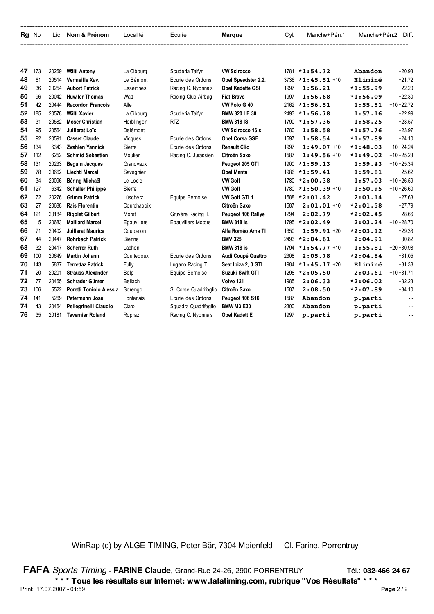| Rg No | Lic. | Nom & Prénom | Localité | Ecurie | Marque | CvI. | Manche+Pén.1 | Manche+Pén.2 | Diff. |
|-------|------|--------------|----------|--------|--------|------|--------------|--------------|-------|
|       |      |              |          |        |        |      |              |              |       |

| 47 | 173 | 20269 | Wälti Antony             | La Cibourg  | Scuderia Taifyn           | <b>VW Scirocco</b>   |      | $1781 * 1:54.72$ | Abandon    | $+20.93$       |
|----|-----|-------|--------------------------|-------------|---------------------------|----------------------|------|------------------|------------|----------------|
| 48 | 61  | 20514 | Vermeille Xav.           | Le Bémont   | Ecurie des Ordons         | Opel Speedster 2.2.  | 3736 | $*1:45.51$ +10   | Eliminé    | $+21.72$       |
| 49 | 36  | 20254 | <b>Aubort Patrick</b>    | Essertines  | Racing C. Nyonnais        | Opel Kadette GSI     | 1997 | 1:56.21          | $*1:55.99$ | $+22.20$       |
| 50 | 96  | 20042 | <b>Huwiler Thomas</b>    | Watt        | Racing Club Airbag        | <b>Fiat Bravo</b>    | 1997 | 1:56.68          | $*1:56.09$ | $+22.30$       |
| 51 | 42  | 20444 | <b>Racordon Francois</b> | Alle        |                           | VW Polo G 40         | 2162 | $*1:56.51$       | 1:55.51    | $+10 + 22.72$  |
| 52 | 185 | 20578 | Wälti Xavier             | La Cibourg  | Scuderia Taifyn           | BMW 320 I E 30       | 2493 | $*1:56.78$       | 1:57.16    | $+22.99$       |
| 53 | 31  | 20582 | <b>Moser Christian</b>   | Herblingen  | <b>RTZ</b>                | <b>BMW 318 IS</b>    | 1790 | $*1:57.36$       | 1:58.25    | $+23.57$       |
| 54 | 95  | 20564 | Juillerat Loïc           | Delémont    |                           | VW Scirocco 16 s     | 1780 | 1:58.58          | $*1:57.76$ | $+23.97$       |
| 55 | 92  | 20591 | <b>Casset Claude</b>     | Vicques     | Ecurie des Ordons         | Opel Corsa GSE       | 1597 | 1:58.54          | $*1:57.89$ | $+24.10$       |
| 56 | 134 | 6343  | Zwahlen Yannick          | Sierre      | Ecurie des Ordons         | <b>Renault Clio</b>  | 1997 | $1:49.07 + 10$   | $*1:48.03$ | $+10 + 24.24$  |
| 57 | 112 | 6252  | Schmid Sébastien         | Moutier     | Racing C. Jurassien       | Citroën Saxo         | 1587 | $1:49.56 + 10$   | $*1:49.02$ | $+10 + 25.23$  |
| 58 | 131 | 20233 | <b>Beguin Jacques</b>    | Grandvaux   |                           | Peugeot 205 GTI      |      | $1900 * 1:59.13$ | 1:59.43    | $+10 + 25.34$  |
| 59 | 78  | 20662 | Liechti Marcel           | Savagnier   |                           | <b>Opel Manta</b>    | 1986 | $*1:59.41$       | 1:59.81    | $+25.62$       |
| 60 | 34  | 20096 | Béring Michaël           | Le Locle    |                           | <b>VW Golf</b>       | 1780 | $*2:00.38$       | 1:57.03    | $+10 + 26.59$  |
| 61 | 127 | 6342  | <b>Schaller Philippe</b> | Sierre      |                           | <b>VW Golf</b>       | 1780 | $*1:50.39 + 10$  | 1:50.95    | $+10 + 26.60$  |
| 62 | 72  | 20276 | <b>Grimm Patrick</b>     | Lüscherz    | Equipe Bernoise           | <b>VW Golf GTI 1</b> | 1588 | $*2:01.42$       | 2:03.14    | $+27.63$       |
| 63 | 27  | 20688 | <b>Rais Florentin</b>    | Courchapoix |                           | Citroën Saxo         | 1587 | $2:01.01 + 10$   | $*2:01.58$ | $+27.79$       |
| 64 | 121 | 20184 | <b>Rigolet Gilbert</b>   | Morat       | Gruyère Racing T.         | Peugeot 106 Rallye   | 1294 | 2:02.79          | $*2:02.45$ | $+28.66$       |
| 65 | 5   | 20683 | <b>Maillard Marcel</b>   | Epauvillers | <b>Epauvillers Motors</b> | <b>BMW 318 is</b>    | 1795 | $*2:02.49$       | 2:03.24    | $+10 + 28.70$  |
| 66 | 71  | 20402 | Juillerat Maurice        | Courcelon   |                           | Alfa Roméo Arna TI   | 1350 | $1:59.91 + 20$   | $*2:03.12$ | $+29.33$       |
| 67 | 44  | 20447 | <b>Rohrbach Patrick</b>  | Bienne      |                           | <b>BMV 3251</b>      | 2493 | $*2:04.61$       | 2:04.91    | $+30.82$       |
| 68 | 32  | 20417 | <b>Scherrer Ruth</b>     | Lachen      |                           | <b>BMW 318 is</b>    | 1794 | $*1:54.77$ +10   | 1:55.81    | $+20 + 30.98$  |
| 69 | 100 | 20649 | Martin Johann            | Courtedoux  | Ecurie des Ordons         | Audi Coupé Quattro   | 2308 | 2:05.78          | $*2:04.84$ | $+31.05$       |
| 70 | 143 | 5837  | <b>Terrettaz Patrick</b> | Fully       | Lugano Racing T.          | Seat Ibiza 2, 0 GTI  | 1984 | $*1:45.17$ +20   | Eliminé    | $+31.38$       |
| 71 | 20  | 20201 | <b>Strauss Alexander</b> | Belp        | Equipe Bemoise            | Suzuki Swift GTI     | 1298 | $*2:05.50$       | 2:03.61    | $+10 + 31.71$  |
| 72 | 77  | 20465 | Schrader Günter          | Bellach     |                           | Volvo 121            | 1985 | 2:06.33          | $*2:06.02$ | $+32.23$       |
| 73 | 106 | 5522  | Poretti Toniolo Alessia  | Sorengo     | S. Corse Quadrifoglio     | Citroën Saxo         | 1587 | 2:08.50          | $*2:07.89$ | $+34.10$       |
| 74 | 141 | 5269  | Petermann José           | Fontenais   | Ecurie des Ordons         | Peugeot 106 S16      | 1587 | Abandon          | p.parti    | $\overline{a}$ |
| 74 | 43  | 20464 | Pellegrinelli Claudio    | Claro       | Squadra Quadrifoglio      | <b>BMW M3 E30</b>    | 2300 | Abandon          | p.parti    | $ -$           |
| 76 | 35  | 20181 | <b>Tavernier Roland</b>  | Ropraz      | Racing C. Nyonnais        | <b>Opel Kadett E</b> | 1997 | p.parti          | p.parti    | $ -$           |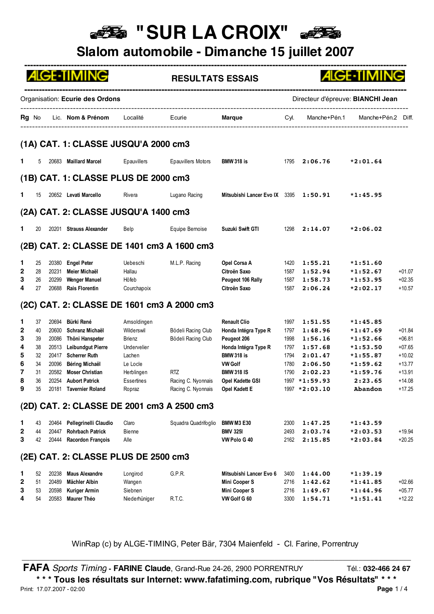# **BE "SUR LA CROIX"**

**Slalom automobile - Dimanche 15 juillet 2007**

|                                      |                                              |                                                    | <b>ALGE-TIMING</b>                                                                                                                                                             |                                                                                                      | <b>RESULTATS ESSAIS</b>                                               |                                                                                                                                                                    |                                                      |                                                                                            | <b>ALGE-TIMING</b>                                                                                        |                                                                                  |
|--------------------------------------|----------------------------------------------|----------------------------------------------------|--------------------------------------------------------------------------------------------------------------------------------------------------------------------------------|------------------------------------------------------------------------------------------------------|-----------------------------------------------------------------------|--------------------------------------------------------------------------------------------------------------------------------------------------------------------|------------------------------------------------------|--------------------------------------------------------------------------------------------|-----------------------------------------------------------------------------------------------------------|----------------------------------------------------------------------------------|
|                                      |                                              |                                                    | Organisation: Ecurie des Ordons                                                                                                                                                |                                                                                                      |                                                                       |                                                                                                                                                                    |                                                      |                                                                                            | Directeur d'épreuve: BIANCHI Jean                                                                         |                                                                                  |
|                                      |                                              |                                                    | Rg No Lic. Nom & Prénom Localité                                                                                                                                               |                                                                                                      | Ecurie                                                                | <b>Marque</b>                                                                                                                                                      | Cyl.                                                 |                                                                                            | Manche+Pén.1 Manche+Pén.2 Diff.                                                                           |                                                                                  |
|                                      |                                              |                                                    | (1A) CAT. 1: CLASSE JUSQU'A 2000 cm3                                                                                                                                           |                                                                                                      |                                                                       |                                                                                                                                                                    |                                                      |                                                                                            |                                                                                                           |                                                                                  |
| 1.                                   | 5                                            |                                                    | 20683 Maillard Marcel                                                                                                                                                          | Epauvillers                                                                                          | <b>Epauvillers Motors</b>                                             | <b>BMW 318 is</b>                                                                                                                                                  |                                                      | $1795$ <b>2:06.76</b>                                                                      | $*2:01.64$                                                                                                |                                                                                  |
|                                      |                                              |                                                    | (1B) CAT. 1: CLASSE PLUS DE 2000 cm3                                                                                                                                           |                                                                                                      |                                                                       |                                                                                                                                                                    |                                                      |                                                                                            |                                                                                                           |                                                                                  |
| 1.                                   | 15                                           |                                                    | 20652 Levati Marcello                                                                                                                                                          | Rivera                                                                                               | Lugano Racing                                                         | Mitsubishi Lancer Evo IX 3395                                                                                                                                      |                                                      | 1:50.91                                                                                    | $*1:45.95$                                                                                                |                                                                                  |
|                                      |                                              |                                                    | (2A) CAT. 2: CLASSE JUSQU'A 1400 cm3                                                                                                                                           |                                                                                                      |                                                                       |                                                                                                                                                                    |                                                      |                                                                                            |                                                                                                           |                                                                                  |
| 1                                    | 20                                           |                                                    | 20201 Strauss Alexander                                                                                                                                                        | Belp                                                                                                 | Equipe Bemoise                                                        | Suzuki Swift GTI                                                                                                                                                   | 1298                                                 | 2:14.07                                                                                    | $*2:06.02$                                                                                                |                                                                                  |
|                                      |                                              |                                                    |                                                                                                                                                                                |                                                                                                      | (2B) CAT. 2: CLASSE DE 1401 cm3 A 1600 cm3                            |                                                                                                                                                                    |                                                      |                                                                                            |                                                                                                           |                                                                                  |
| 1.<br>2<br>3<br>4                    | 25<br>28<br>26<br>27                         | 20231<br>20299<br>20688                            | 20380 Engel Peter<br>Meier Michaël<br><b>Wenger Manuel</b><br><b>Rais Florentin</b>                                                                                            | Uebeschi<br>Hallau<br>Höfeb<br>Courchapoix                                                           | M.L.P. Racing                                                         | Opel Corsa A<br>Citroën Saxo<br>Peugeot 106 Rally<br>Citroën Saxo                                                                                                  | 1420<br>1587<br>1587<br>1587                         | 1:55.21<br>1:52.94<br>1:58.73<br>2:06.24                                                   | $*1:51.60$<br>$*1:52.67$<br>$*1:53.95$<br>$*2:02.17$                                                      | $+01.07$<br>$+02.35$<br>$+10.57$                                                 |
|                                      |                                              |                                                    |                                                                                                                                                                                |                                                                                                      | (2C) CAT. 2: CLASSE DE 1601 cm3 A 2000 cm3                            |                                                                                                                                                                    |                                                      |                                                                                            |                                                                                                           |                                                                                  |
| 1<br>2<br>3<br>4<br>5<br>6<br>7<br>8 | 37<br>40<br>39<br>38<br>32<br>34<br>31<br>36 | 20694<br>20600<br>20086<br>20417<br>20096<br>20582 | Bürki René<br>Schranz Michaël<br>Thöni Hanspeter<br>20513 Leibundgut Pierre<br><b>Scherrer Ruth</b><br><b>Béring Michaël</b><br><b>Moser Christian</b><br>20254 Aubort Patrick | Amsoldingen<br>Wilderswil<br>Brienz<br>Undervelier<br>Lachen<br>Le Locle<br>Herblingen<br>Essertines | Bödeli Racing Club<br>Bödeli Racing Club<br>RTZ<br>Racing C. Nyonnais | <b>Renault Clio</b><br>Honda Intégra Type R<br>Peugeot 206<br>Honda Intégra Type R<br><b>BMW 318 is</b><br><b>VW Golf</b><br><b>BMW 318 IS</b><br>Opel Kadette GSI | 1997<br>1797<br>1998<br>1797<br>1794<br>1780<br>1790 | 1:51.55<br>1:48.96<br>1:56.16<br>1:57.68<br>2:01.47<br>2:06.50<br>2:02.23<br>1997 *1:59.93 | $*1:45.85$<br>$*1:47.69$<br>$*1:52.66$<br>$*1:53.50$<br>$*1:55.87$<br>$*1:59.62$<br>$*1:59.76$<br>2:23.65 | $+01.84$<br>$+06.81$<br>$+07.65$<br>$+10.02$<br>$+13.77$<br>$+13.91$<br>$+14.08$ |
| 9                                    | 35                                           |                                                    | 20181 Tavernier Roland                                                                                                                                                         | Ropraz                                                                                               | Racing C. Nyonnais                                                    | Opel Kadett E                                                                                                                                                      |                                                      | 1997 *2:03.10                                                                              | Abandon                                                                                                   | $+17.25$                                                                         |
| 1<br>$\mathbf{2}$<br>3               | 43<br>44<br>42                               | 20464<br>20447<br>20444                            | Pellegrinelli Claudio<br><b>Rohrbach Patrick</b><br>Racordon François                                                                                                          | Claro<br>Bienne<br>Alle                                                                              | (2D) CAT. 2: CLASSE DE 2001 cm3 A 2500 cm3<br>Squadra Quadrifoglio    | <b>BMW M3 E30</b><br><b>BMV 3251</b><br>VW Polo G 40                                                                                                               | 2300<br>2493<br>2162                                 | 1:47.25<br>2:03.74<br>2:15.85                                                              | $*1:43.59$<br>$*2:03.53$<br>$*2:03.84$                                                                    | $+19.94$<br>$+20.25$                                                             |
|                                      |                                              |                                                    | (2E) CAT. 2: CLASSE PLUS DE 2500 cm3                                                                                                                                           |                                                                                                      |                                                                       |                                                                                                                                                                    |                                                      |                                                                                            |                                                                                                           |                                                                                  |
| 1<br>$\mathbf{2}$<br>3               | 52<br>51<br>53                               | 20238<br>20489<br>20598                            | Maus Alexandre<br>Mächler Albin<br><b>Kuriger Armin</b>                                                                                                                        | Longirod<br>Wangen<br>Siebnen                                                                        | G.P.R.                                                                | Mitsubishi Lancer Evo 6<br>Mini Cooper S<br><b>Mini Cooper S</b>                                                                                                   | 3400<br>2716<br>2716                                 | 1:44.00<br>1:42.62<br>1:49.67                                                              | $*1:39.19$<br>$*1:41.85$<br>$*1:44.96$                                                                    | $+02.66$<br>$+05.77$                                                             |

WinRap (c) by ALGE-TIMING, Peter Bär, 7304 Maienfeld - Cl. Farine, Porrentruy \_\_\_\_\_\_\_\_\_\_\_\_\_\_\_\_\_\_\_\_\_\_\_\_\_\_\_\_\_\_\_\_\_\_\_\_\_\_\_\_\_\_\_\_\_\_\_\_\_\_\_\_\_\_\_\_\_\_\_\_\_\_\_\_\_\_\_\_\_\_\_\_\_\_\_\_\_\_\_\_\_\_\_\_\_\_\_\_\_\_\_\_\_\_\_\_\_

**FAFA** *Sports Timing* - **FARINE Claude**, Grand-Rue 24-26, 2900 PORRENTRUY Tél.: 032-466 24 67 **\* \* \* Tous les résultats sur Internet: www.fafatiming.com, rubrique "Vos Résultats" \* \* \*** Print: 17.07.2007 - 02:00 **Page** 1 / 4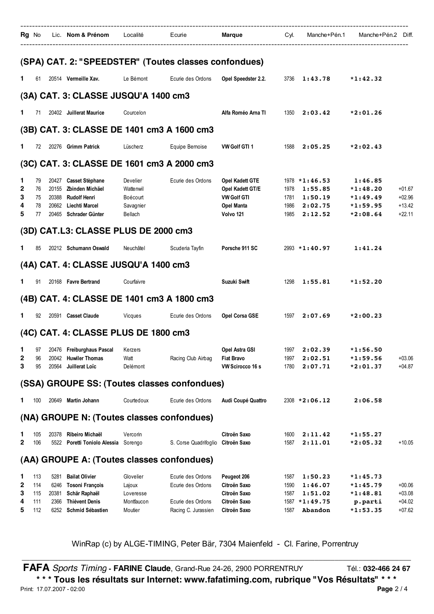|                       |                                 | Rg No Lic. Nom & Prénom Localité : Ecurie : Marque : Cyl. Manche+Pén.1 Manche+Pén.2 Diff.                                       |                                                           |                                                                                    |                                                                                             |                              |                                                              |                                                                 |                                              |
|-----------------------|---------------------------------|---------------------------------------------------------------------------------------------------------------------------------|-----------------------------------------------------------|------------------------------------------------------------------------------------|---------------------------------------------------------------------------------------------|------------------------------|--------------------------------------------------------------|-----------------------------------------------------------------|----------------------------------------------|
|                       |                                 | (SPA) CAT. 2: "SPEEDSTER" (Toutes classes confondues)                                                                           |                                                           |                                                                                    |                                                                                             |                              |                                                              |                                                                 |                                              |
| 1.                    |                                 | 61 20514 Vermeille Xav.                                                                                                         | Le Bémont                                                 | Ecurie des Ordons                                                                  | Opel Speedster 2.2.                                                                         |                              | $3736$ 1:43.78 *1:42.32                                      |                                                                 |                                              |
|                       |                                 | (3A) CAT. 3: CLASSE JUSQU'A 1400 cm3                                                                                            |                                                           |                                                                                    |                                                                                             |                              |                                                              |                                                                 |                                              |
| 1.                    |                                 | 71 20402 Juillerat Maurice                                                                                                      | Courcelon                                                 |                                                                                    | Alfa Roméo Arna TI                                                                          |                              | $1350$ <b>2:03.42</b>                                        | $*2:01.26$                                                      |                                              |
|                       |                                 | (3B) CAT. 3: CLASSE DE 1401 cm3 A 1600 cm3                                                                                      |                                                           |                                                                                    |                                                                                             |                              |                                                              |                                                                 |                                              |
| 1.                    | 72                              | 20276 Grimm Patrick                                                                                                             | Lüscherz                                                  | Equipe Bemoise                                                                     | <b>VW Golf GTI 1</b>                                                                        |                              | $1588$ <b>2:05.25</b>                                        | $*2:02.43$                                                      |                                              |
|                       |                                 | (3C) CAT. 3: CLASSE DE 1601 cm3 A 2000 cm3                                                                                      |                                                           |                                                                                    |                                                                                             |                              |                                                              |                                                                 |                                              |
| 1<br>2<br>3<br>4<br>5 | 79<br>76<br>75<br>78<br>77      | 20427 Casset Stèphane<br>20155 Zbinden Michäel<br>20388 Rudolf Henri<br>20662 Liechti Marcel<br>20465 Schrader Günter           | Develier<br>Wattenwil<br>Boécourt<br>Savagnier<br>Bellach | Ecurie des Ordons                                                                  | Opel Kadett GTE<br>Opel Kadett GT/E<br><b>VW Golf GTI</b><br><b>Opel Manta</b><br>Volvo 121 | 1978<br>1781<br>1986<br>1985 | $1978 * 1:46.53$<br>1:55.85<br>1:50.19<br>2:02.75<br>2:12.52 | 1:46.85<br>$*1:48.20$<br>$*1:49.49$<br>$*1:59.95$<br>$*2:08.64$ | $+01.67$<br>$+02.96$<br>$+13.42$<br>$+22.11$ |
|                       |                                 | (3D) CAT.L3: CLASSE PLUS DE 2000 cm3                                                                                            |                                                           |                                                                                    |                                                                                             |                              |                                                              |                                                                 |                                              |
| 1.                    | 85                              | 20212 Schumann Oswald                                                                                                           | Neuchâtel                                                 | Scuderia Tayfin                                                                    | Porsche 911 SC                                                                              |                              | $2993 * 1 : 40.97$                                           | 1:41.24                                                         |                                              |
|                       |                                 | (4A) CAT. 4: CLASSE JUSQU'A 1400 cm3                                                                                            |                                                           |                                                                                    |                                                                                             |                              |                                                              |                                                                 |                                              |
| 1.                    |                                 | 91 20168 Favre Bertrand                                                                                                         | Courfaivre                                                |                                                                                    | Suzuki Swift                                                                                |                              | 1298 1:55.81                                                 | $*1:52.20$                                                      |                                              |
|                       |                                 | (4B) CAT. 4: CLASSE DE 1401 cm3 A 1800 cm3                                                                                      |                                                           |                                                                                    |                                                                                             |                              |                                                              |                                                                 |                                              |
| 1.                    |                                 | 92 20591 Casset Claude                                                                                                          | Vicques                                                   | Ecurie des Ordons                                                                  | <b>Opel Corsa GSE</b>                                                                       |                              | 1597 2:07.69                                                 | $*2:00.23$                                                      |                                              |
|                       |                                 | (4C) CAT. 4: CLASSE PLUS DE 1800 cm3                                                                                            |                                                           |                                                                                    |                                                                                             |                              |                                                              |                                                                 |                                              |
| 2<br>3                | 96<br>95                        | 1 97 20476 Freiburghaus Pascal Kerzers<br>20042 Huwiler Thomas<br>Juillerat Loïc<br>20564                                       | Watt<br>Delémont                                          | Racing Club Airbag                                                                 | Opel Astra GSI 1997 2:02.39 *1:56.50<br><b>Fiat Bravo</b><br>VW Scirocco 16 s               | 1997<br>1780                 | 2:02.51<br>2:07.71                                           | $*1:59.56$<br>$*2:01.37$                                        | $+03.06$<br>$+04.87$                         |
|                       |                                 | (SSA) GROUPE SS: (Toutes classes confondues)                                                                                    |                                                           |                                                                                    |                                                                                             |                              |                                                              |                                                                 |                                              |
| 1.                    | 100                             | 20649 Martin Johann                                                                                                             | Courtedoux                                                | Ecurie des Ordons                                                                  | Audi Coupé Quattro                                                                          |                              | $2308 * 2:06.12$                                             | 2:06.58                                                         |                                              |
|                       |                                 | (NA) GROUPE N: (Toutes classes confondues)                                                                                      |                                                           |                                                                                    |                                                                                             |                              |                                                              |                                                                 |                                              |
| 1<br>2                | 105<br>106                      | 20378 Ribeiro Michaël<br>5522 Poretti Toniolo Alessia Sorengo                                                                   | Vercorin                                                  | S. Corse Quadrifoglio                                                              | Citroën Saxo<br>Citroën Saxo                                                                | 1600<br>1587                 | 2:11.42<br>2:11.01                                           | $*1:55.27$<br>$*2:05.32$                                        | $+10.05$                                     |
|                       |                                 | (AA) GROUPE A: (Toutes classes confondues)                                                                                      |                                                           |                                                                                    |                                                                                             |                              |                                                              |                                                                 |                                              |
| 1<br>2<br>3<br>4<br>5 | 113<br>114<br>115<br>111<br>112 | 5281 Bailat Olivier<br>6246 Tosoni François<br>20381<br>Schär Raphaël<br><b>Thiévent Denis</b><br>2366<br>6252 Schmid Sébastien | Glovelier<br>Lajoux<br>Loveresse<br>Montfaucon<br>Moutier | Ecurie des Ordons<br>Ecurie des Ordons<br>Ecurie des Ordons<br>Racing C. Jurassien | Peugeot 206<br>Citroën Saxo<br>Citroën Saxo<br>Citroën Saxo<br>Citroën Saxo                 | 1587<br>1590<br>1587<br>1587 | 1:50.23<br>1:46.07<br>1:51.02<br>1587 *1:49.75<br>Abandon    | $*1:45.73$<br>$*1:45.79$<br>$*1:48.81$<br>p.parti<br>$*1:53.35$ | $+00.06$<br>$+03.08$<br>$+04.02$<br>$+07.62$ |
|                       |                                 |                                                                                                                                 |                                                           |                                                                                    |                                                                                             |                              |                                                              |                                                                 |                                              |

**FAFA** *Sports Timing* **- FARINE Claude**, Grand-Rue 24-26, 2900 PORRENTRUY Tél.: **032-466 24 67 \* \* \* Tous les résultats sur Internet: www.fafatiming.com, rubrique "Vos Résultats" \* \* \*** Print: 17.07.2007 - 02:00 **Page** 2 / 4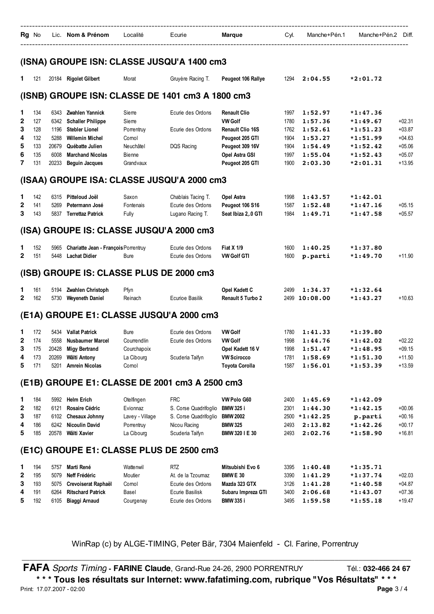| Rg No |  | Lic. Nom & Prénom | _ocalité | Ecurie | Marque | Cvl. | Manche+Pén.1 | Manche+Pén.2 | Diff. |
|-------|--|-------------------|----------|--------|--------|------|--------------|--------------|-------|
|       |  |                   |          |        |        |      |              |              |       |

#### **(ISNA) GROUPE ISN: CLASSE JUSQU'A 1400 cm3**

| 1                                | 121                                           |                                                        | 20184 Rigolet Gilbert                                                                                                                                                 | Morat                                                                       | Gruyère Racing T.                                                                               | Peugeot 106 Rallye                                                                                                                          | 1294                                                 | 2:04.55                                                                   | $*2:01.72$                                                                                     |                                                                      |
|----------------------------------|-----------------------------------------------|--------------------------------------------------------|-----------------------------------------------------------------------------------------------------------------------------------------------------------------------|-----------------------------------------------------------------------------|-------------------------------------------------------------------------------------------------|---------------------------------------------------------------------------------------------------------------------------------------------|------------------------------------------------------|---------------------------------------------------------------------------|------------------------------------------------------------------------------------------------|----------------------------------------------------------------------|
|                                  |                                               |                                                        | (ISNB) GROUPE ISN: CLASSE DE 1401 cm3 A 1800 cm3                                                                                                                      |                                                                             |                                                                                                 |                                                                                                                                             |                                                      |                                                                           |                                                                                                |                                                                      |
| 1.<br>2<br>3<br>4<br>5<br>6<br>7 | 134<br>127<br>128<br>132<br>133<br>135<br>131 | 6343<br>6342<br>1196<br>5288<br>20679<br>6008<br>20233 | Zwahlen Yannick<br><b>Schaller Philippe</b><br><b>Stebler Lionel</b><br><b>Willemin Michel</b><br>Québatte Julien<br><b>Marchand Nicolas</b><br><b>Beguin Jacques</b> | Sierre<br>Sierre<br>Porrentruy<br>Comol<br>Neuchâtel<br>Bienne<br>Grandvaux | Ecurie des Ordons<br>Ecurie des Ordons<br>DQS Racing                                            | <b>Renault Clio</b><br><b>VW Golf</b><br><b>Renault Clio 16S</b><br>Peugeot 205 GTI<br>Peugeot 309 16V<br>Opel Astra GSI<br>Peugeot 205 GTI | 1997<br>1780<br>1762<br>1904<br>1904<br>1997<br>1900 | 1:52.97<br>1:57.36<br>1:52.61<br>1:53.27<br>1:54.49<br>1:55.04<br>2:03.30 | $*1:47.36$<br>$*1:49.67$<br>$*1:51.23$<br>$*1:51.99$<br>$*1:52.42$<br>$*1:52.43$<br>$*2:01.31$ | $+02.31$<br>$+03.87$<br>$+04.63$<br>$+05.06$<br>$+05.07$<br>$+13.95$ |
|                                  |                                               |                                                        | (ISAA) GROUPE ISA: CLASSE JUSQU'A 2000 cm3                                                                                                                            |                                                                             |                                                                                                 |                                                                                                                                             |                                                      |                                                                           |                                                                                                |                                                                      |
| 1.<br>2<br>3                     | 142<br>141<br>143                             | 5269<br>5837                                           | 6315 Pitteloud Joël<br>Petermann José<br><b>Terrettaz Patrick</b><br>(ISA) GROUPE IS: CLASSE JUSQU'A 2000 cm3                                                         | Saxon<br>Fontenais<br>Fully                                                 | Chablais Tacing T.<br>Ecurie des Ordons<br>Lugano Racing T.                                     | Opel Astra<br>Peugeot 106 S16<br>Seat Ibiza 2,.0 GTI                                                                                        | 1998<br>1587<br>1984                                 | 1:43.57<br>1:52.48<br>1:49.71                                             | $*1:42.01$<br>$*1:47.16$<br>$*1:47.58$                                                         | $+05.15$<br>$+05.57$                                                 |
| ı<br>2                           | 152<br>151                                    | 5965<br>5448                                           | Chariatte Jean - François Porrentruy<br><b>Lachat Didier</b>                                                                                                          | <b>Bure</b>                                                                 | Ecurie des Ordons<br>Ecurie des Ordons                                                          | <b>Fiat X 1/9</b><br><b>VW Golf GTI</b>                                                                                                     | 1600<br>1600                                         | 1:40.25<br>p.parti                                                        | $*1:37.80$<br>$*1:49.70$                                                                       | $+11.90$                                                             |
|                                  |                                               |                                                        | (ISB) GROUPE IS: CLASSE PLUS DE 2000 cm3                                                                                                                              |                                                                             |                                                                                                 |                                                                                                                                             |                                                      |                                                                           |                                                                                                |                                                                      |
| ı<br>2                           | 161<br>162                                    | 5194<br>5730                                           | Zwahlen Christoph<br><b>Weyeneth Daniel</b>                                                                                                                           | Pfyn<br>Reinach                                                             | Ecurioe Basilik                                                                                 | Opel Kadett C<br><b>Renault 5 Turbo 2</b>                                                                                                   | 2499<br>2499                                         | 1:34.37<br>10:08.00                                                       | $*1:32.64$<br>*1:43.27                                                                         | $+10.63$                                                             |
|                                  |                                               |                                                        | (E1A) GROUPE E1: CLASSE JUSQU'A 2000 cm3                                                                                                                              |                                                                             |                                                                                                 |                                                                                                                                             |                                                      |                                                                           |                                                                                                |                                                                      |
| 1.<br>2<br>3<br>4<br>5           | 172<br>174<br>175<br>173<br>171               | 5434<br>5558<br>20428<br>20269<br>5201                 | <b>Vallat Patrick</b><br><b>Nusbaumer Marcel</b><br><b>Migy Bertrand</b><br>Wälti Antony<br><b>Amrein Nicolas</b>                                                     | Bure<br>Courrendlin<br>Courchapoix<br>La Cibourg<br>Comol                   | Ecurie des Ordons<br>Ecurie des Ordons<br>Scuderia Taifyn                                       | <b>VW Golf</b><br><b>VW Golf</b><br>Opel Kadett 16 V<br><b>VW Scirocco</b><br><b>Toyota Corolla</b>                                         | 1780<br>1998<br>1998<br>1781<br>1587                 | 1:41.33<br>1:44.76<br>1:51.47<br>1:58.69<br>1:56.01                       | *1:39.80<br>$*1:42.02$<br>$*1:48.95$<br>$*1:51.30$<br>$*1:53.39$                               | $+02.22$<br>$+09.15$<br>$+11.50$<br>$+13.59$                         |
|                                  |                                               |                                                        | (E1B) GROUPE E1: CLASSE DE 2001 cm3 A 2500 cm3                                                                                                                        |                                                                             |                                                                                                 |                                                                                                                                             |                                                      |                                                                           |                                                                                                |                                                                      |
| ı<br>2<br>3<br>4<br>5            | 184<br>182<br>187<br>186<br>185               | 6121<br>6242<br>20578                                  | 5992 Helm Erich<br>Rosaire Cédric<br>6102 Chesaux Johnny<br><b>Nicoulin David</b><br>Wälti Xavier                                                                     | Otelfingen<br>Evionnaz<br>Lavey - Village<br>Porrentruy<br>La Cibourg       | <b>FRC</b><br>S. Corse Quadrifoglio<br>S. Corse Quadrifoglio<br>Nicou Racing<br>Scuderia Taifyn | VW Polo G60<br><b>BMW 325 i</b><br><b>BMW 2002</b><br><b>BMW 325</b><br>BMW 320 I E 30                                                      | 2400<br>2301<br>2493<br>2493                         | 1:45.69<br>1:44.30<br>2500 *1:42.25<br>2:13.82<br>2:02.76                 | *1:42.09<br>$*1:42.15$<br>p.parti<br>$*1:42.26$<br>$*1:58.90$                                  | $+00.06$<br>$+00.16$<br>$+00.17$<br>$+16.81$                         |
|                                  |                                               |                                                        | (E1C) GROUPE E1: CLASSE PLUS DE 2500 cm3                                                                                                                              |                                                                             |                                                                                                 |                                                                                                                                             |                                                      |                                                                           |                                                                                                |                                                                      |
| 1.<br>2<br>3<br>4<br>5           | 194<br>195<br>193<br>191<br>192               | 5079<br>5075<br>6264<br>6105                           | 5757 Marti René<br>Neff Frédéric<br>Crevoiserat Raphaël<br><b>Ritschard Patrick</b><br><b>Biaggi Arnaud</b>                                                           | Wattenwil<br>Moutier<br>Cornol<br>Basel<br>Courgenay                        | <b>RTZ</b><br>At. de la Tzoumaz<br>Ecurie des Ordons<br>Ecurie Basilisk<br>Ecurie des Ordons    | Mitsubishi Evo 6<br><b>BMW E 30</b><br>Mazda 323 GTX<br>Subaru Impreza GTI<br>BMW 335 i                                                     | 3395<br>3390<br>3126<br>3400<br>3495                 | 1:40.48<br>1:41.29<br>1:41.28<br>2:06.68<br>1:59.58                       | $*1:35.71$<br>*1:37.74<br>*1:40.58<br>$*1:43.07$<br>$*1:55.18$                                 | $+02.03$<br>$+04.87$<br>$+07.36$<br>$+19.47$                         |

WinRap (c) by ALGE-TIMING, Peter Bär, 7304 Maienfeld - Cl. Farine, Porrentruy \_\_\_\_\_\_\_\_\_\_\_\_\_\_\_\_\_\_\_\_\_\_\_\_\_\_\_\_\_\_\_\_\_\_\_\_\_\_\_\_\_\_\_\_\_\_\_\_\_\_\_\_\_\_\_\_\_\_\_\_\_\_\_\_\_\_\_\_\_\_\_\_\_\_\_\_\_\_\_\_\_\_\_\_\_\_\_\_\_\_\_\_\_\_\_\_\_

**FAFA** *Sports Timing* - **FARINE Claude**, Grand-Rue 24-26, 2900 PORRENTRUY Tél.: 032-466 24 67 **\* \* \* Tous les résultats sur Internet: www.fafatiming.com, rubrique "Vos Résultats" \* \* \*** Print: 17.07.2007 - 02:00 **Page** 3 / 4